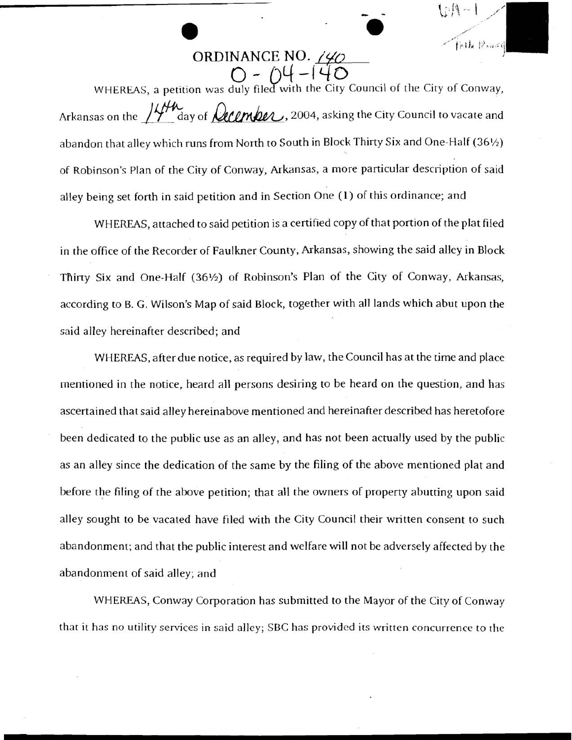ORDINANCE NO. 140

**a** a **a** a  $\overrightarrow{0}$ 

**0.** -

**ORDINANCE NO. 240**<br>  $O - O(1 - 140$ <br>
WHEREAS, a petition was duly filed with the City Council of the City of Conway, **CROINANCE NO.** (40)<br>
ORDINANCE NO. (40)<br>  $Q = \bigcup_{i=1}^{\infty} \bigcup_{i=1}^{\infty} \bigcup_{i=1}^{\infty} \bigcup_{i=1}^{\infty}$ <br>
WHEREAS, a petition was duly filed with the City Council of the City of Conway,<br>
Arkansas on the  $\bigcup_{i=1}^{\infty} \bigcup_{i=1}^{\$ abandon that alley which runs from North to South in Block Thirty Six and One-Half (36%) of Robinson's Plan of the City of Conway, Arkansas, a more particular description of said alley being set forth in said petition and in Section One **(1)** of this ordinance; and

WHEREAS, attached to said petition is a certified copy of that portion of the plat filed in the office of the Recorder of Faulkner County, Arkansas, showing the said alley in Block Thirty Six and One-Half (36%) of Robinson's Plan of the City of Conway, Arkansas, according to B. G. Wilson's Map of said Block, together with all lands which abut upon the said alley hereinafter described; and

WHEREAS, after due notice, as required by law, the Council has at the time and place mentioned in the notice, heard all persons desiring to be heard on the question, and has ascertained that said alley hereinabove mentioned and hereinafter described has heretofore been dedicated to the public use as an alley, and has not been actually used by the public as an alley since the dedication of the same by the filing of the above mentioned plat and before the filing of the above petition; that all the owners of property abutting upon said alley sought to be vacated have filed with the City Council their written consent to such abandonment; and that the public interest and welfare will not be adversely affected by the abandonment of said alley; and

WHEREAS, Conway Corporation has submitted to the Mayor of the City of Conway that it has no utility senices in said alley; SBC has provided its written concurrence to the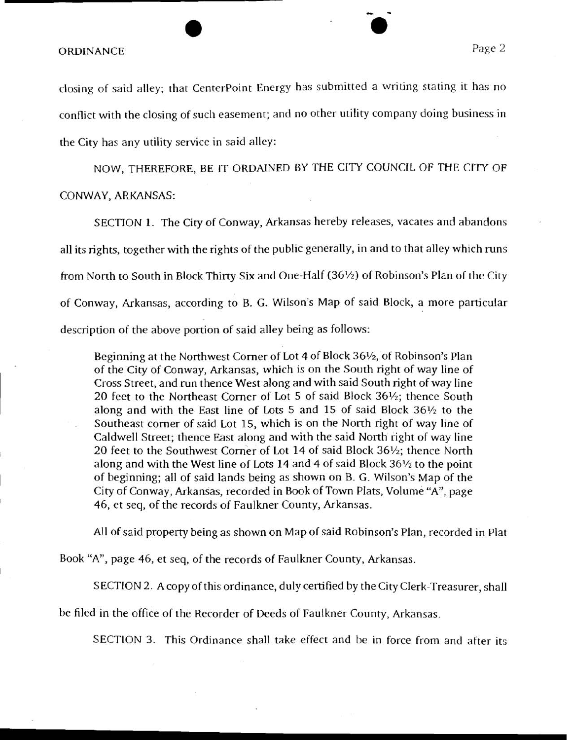## ORDINANCE Page 2

closing of said alley; that Centerpoint Energy has submitted a writing stating it has no conflict with the closing of such easement; and no other utility company doing business in the City has any utility service in said alley:

NOW, THEREFORE, BE IT ORDAINED BY THE CITY COUNCIL OF THE CITY OF CONWAY, ARKANSAS:

SECTION 1. The City of Conway, Arkansas hereby releases, vacates and abandons all its rights, together with the rights of the public generally, in and to that alley which runs from North to South in Block Thirty Six and One-Half (36%) of Robinson's Plan of the City of Conway, Arkansas, according to B. G. Wilson's Map of said Block, a more particular description of the above portion of said alley being as follows:

Beginning at the Northwest Corner of Lot 4 of Block 36<sup>1</sup>/<sub>2</sub>, of Robinson's Plan of the City of Conway, Arkansas, which is on the South right of way line of Cross Street, and run thence West along and with said South right of way line 20 feet to the Northeast Comer of Lot 5 of said Block 36%; thence South along and with the East line of Lots 5 and 15 of said Block 36% to the Southeast comer of said Lot 15, which is on the North right of way line of Caldwell Street; thence East along and with the said North right of way line 20 feet to the Southwest Comer of Lot 14 of said Block 36%; thence North along and with the West line of Lots 14 and 4 of said Block 36% to the point of beginning; all of said lands being as shown on B. G. Wilson's Map of the City of Conway, Arkansas, recorded in Book of Town Plats, Volume "A", page 46, et seq, of the records of Faulkner County, Arkansas.

All of said property being as shown on Map of said Robinson's Plan, recorded in Plat

Book "A7', page 46, et seq, of the records of Faulkner County, Arkansas.

SECTION 2. A copy of this ordinance, duly certified by the City Clerk-Treasurer, shall

be filed in the office of the Recorder of Deeds of Faulkner County, Arkansas.

SECTlON 3. This Ordinance shall take effect and be in force from and after its